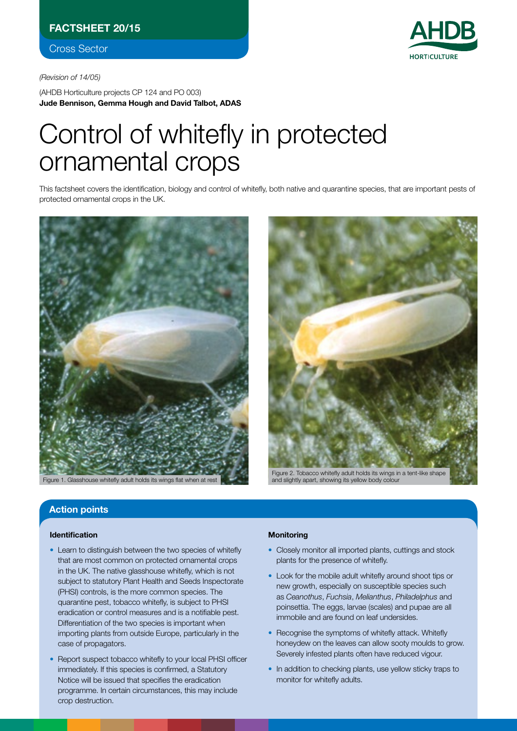# **FACTSHEET 20/15**

#### Cross Sector



(AHDB Horticulture projects CP 124 and PO 003) **Jude Bennison, Gemma Hough and David Talbot, ADAS**

# Control of whitefly in protected ornamental crops

This factsheet covers the identification, biology and control of whitefly, both native and quarantine species, that are important pests of protected ornamental crops in the UK.



Ire 1. Glasshouse whitefly adult holds its wings flat wher



Figure 2. Tobacco whitefly adult holds its wings in a tent-like shape and slightly apart, showing its yellow body colour

# **Action points**

#### **Identification**

- Learn to distinguish between the two species of whitefly that are most common on protected ornamental crops in the UK. The native glasshouse whitefly, which is not subject to statutory Plant Health and Seeds Inspectorate (PHSI) controls, is the more common species. The quarantine pest, tobacco whitefly, is subject to PHSI eradication or control measures and is a notifiable pest. Differentiation of the two species is important when importing plants from outside Europe, particularly in the case of propagators.
- Report suspect tobacco whitefly to your local PHSI officer immediately. If this species is confirmed, a Statutory Notice will be issued that specifies the eradication programme. In certain circumstances, this may include crop destruction.

#### **Monitoring**

- Closely monitor all imported plants, cuttings and stock plants for the presence of whitefly.
- Look for the mobile adult whitefly around shoot tips or new growth, especially on susceptible species such as *Ceanothus*, *Fuchsia*, *Melianthus*, *Philadelphus* and poinsettia. The eggs, larvae (scales) and pupae are all immobile and are found on leaf undersides.
- Recognise the symptoms of whitefly attack. Whitefly honeydew on the leaves can allow sooty moulds to grow. Severely infested plants often have reduced vigour.
- In addition to checking plants, use yellow sticky traps to monitor for whitefly adults.

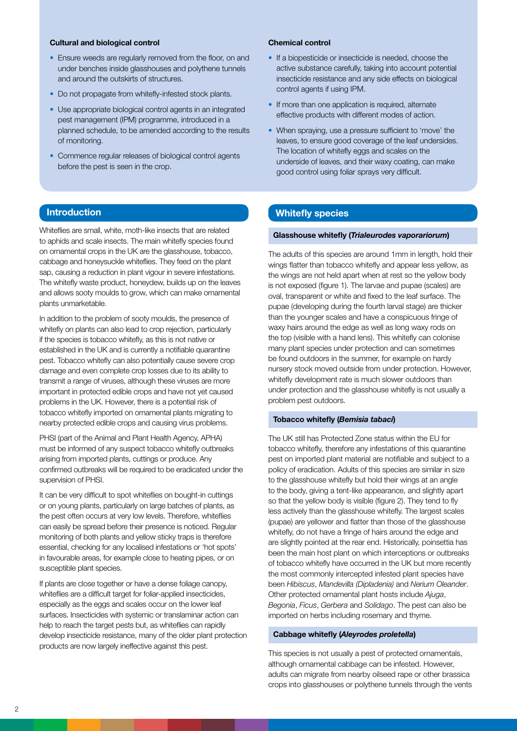#### **Cultural and biological control**

- Ensure weeds are regularly removed from the floor, on and under benches inside glasshouses and polythene tunnels and around the outskirts of structures.
- Do not propagate from whitefly-infested stock plants.
- Use appropriate biological control agents in an integrated pest management (IPM) programme, introduced in a planned schedule, to be amended according to the results of monitoring.
- Commence regular releases of biological control agents before the pest is seen in the crop.

## **Introduction**

Whiteflies are small, white, moth-like insects that are related to aphids and scale insects. The main whitefly species found on ornamental crops in the UK are the glasshouse, tobacco, cabbage and honeysuckle whiteflies. They feed on the plant sap, causing a reduction in plant vigour in severe infestations. The whitefly waste product, honeydew, builds up on the leaves and allows sooty moulds to grow, which can make ornamental plants unmarketable.

In addition to the problem of sooty moulds, the presence of whitefly on plants can also lead to crop rejection, particularly if the species is tobacco whitefly, as this is not native or established in the UK and is currently a notifiable quarantine pest. Tobacco whitefly can also potentially cause severe crop damage and even complete crop losses due to its ability to transmit a range of viruses, although these viruses are more important in protected edible crops and have not yet caused problems in the UK. However, there is a potential risk of tobacco whitefly imported on ornamental plants migrating to nearby protected edible crops and causing virus problems.

PHSI (part of the Animal and Plant Health Agency, APHA) must be informed of any suspect tobacco whitefly outbreaks arising from imported plants, cuttings or produce. Any confirmed outbreaks will be required to be eradicated under the supervision of PHSI.

It can be very difficult to spot whiteflies on bought-in cuttings or on young plants, particularly on large batches of plants, as the pest often occurs at very low levels. Therefore, whiteflies can easily be spread before their presence is noticed. Regular monitoring of both plants and yellow sticky traps is therefore essential, checking for any localised infestations or 'hot spots' in favourable areas, for example close to heating pipes, or on susceptible plant species.

If plants are close together or have a dense foliage canopy, whiteflies are a difficult target for foliar-applied insecticides, especially as the eggs and scales occur on the lower leaf surfaces. Insecticides with systemic or translaminar action can help to reach the target pests but, as whiteflies can rapidly develop insecticide resistance, many of the older plant protection products are now largely ineffective against this pest.

#### **Chemical control**

- If a biopesticide or insecticide is needed, choose the active substance carefully, taking into account potential insecticide resistance and any side effects on biological control agents if using IPM.
- If more than one application is required, alternate effective products with different modes of action.
- When spraying, use a pressure sufficient to 'move' the leaves, to ensure good coverage of the leaf undersides. The location of whitefly eggs and scales on the underside of leaves, and their waxy coating, can make good control using foliar sprays very difficult.

# **Whitefly species**

#### **Glasshouse whitefly (***Trialeurodes vaporariorum***)**

The adults of this species are around 1mm in length, hold their wings flatter than tobacco whitefly and appear less yellow, as the wings are not held apart when at rest so the yellow body is not exposed (figure 1). The larvae and pupae (scales) are oval, transparent or white and fixed to the leaf surface. The pupae (developing during the fourth larval stage) are thicker than the younger scales and have a conspicuous fringe of waxy hairs around the edge as well as long waxy rods on the top (visible with a hand lens). This whitefly can colonise many plant species under protection and can sometimes be found outdoors in the summer, for example on hardy nursery stock moved outside from under protection. However, whitefly development rate is much slower outdoors than under protection and the glasshouse whitefly is not usually a problem pest outdoors.

#### **Tobacco whitefly (***Bemisia tabaci***)**

The UK still has Protected Zone status within the EU for tobacco whitefly, therefore any infestations of this quarantine pest on imported plant material are notifiable and subject to a policy of eradication. Adults of this species are similar in size to the glasshouse whitefly but hold their wings at an angle to the body, giving a tent-like appearance, and slightly apart so that the yellow body is visible (figure 2). They tend to fly less actively than the glasshouse whitefly. The largest scales (pupae) are yellower and flatter than those of the glasshouse whitefly, do not have a fringe of hairs around the edge and are slightly pointed at the rear end. Historically, poinsettia has been the main host plant on which interceptions or outbreaks of tobacco whitefly have occurred in the UK but more recently the most commonly intercepted infested plant species have been *Hibiscus*, *Mandevilla (Dipladenia)* and *Nerium Oleander*. Other protected ornamental plant hosts include *Ajuga*, *Begonia*, *Ficus*, *Gerbera* and *Solidago*. The pest can also be imported on herbs including rosemary and thyme.

#### **Cabbage whitefly (***Aleyrodes proletella***)**

This species is not usually a pest of protected ornamentals, although ornamental cabbage can be infested. However, adults can migrate from nearby oilseed rape or other brassica crops into glasshouses or polythene tunnels through the vents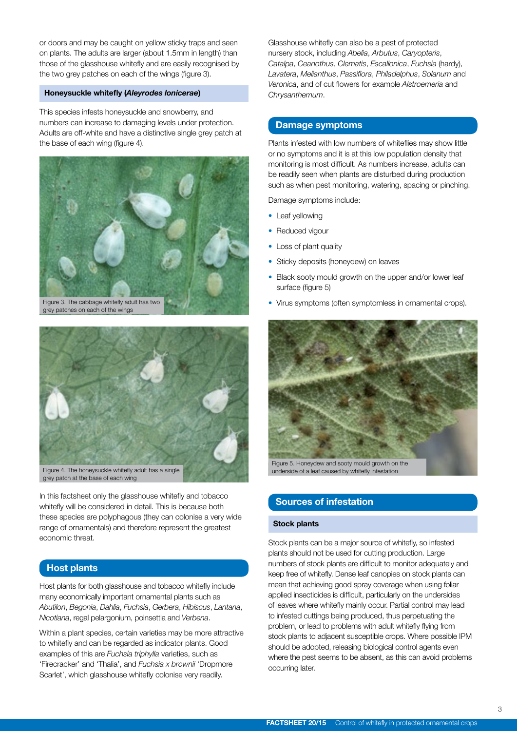or doors and may be caught on yellow sticky traps and seen on plants. The adults are larger (about 1.5mm in length) than those of the glasshouse whitefly and are easily recognised by the two grey patches on each of the wings (figure 3).

# **Honeysuckle whitefly (***Aleyrodes lonicerae***)**

This species infests honeysuckle and snowberry, and numbers can increase to damaging levels under protection. Adults are off-white and have a distinctive single grey patch at the base of each wing (figure 4).



Figure 3. The cabbage whitefly adult has two grey patches on each of the wings



grey patch at the base of each wing

In this factsheet only the glasshouse whitefly and tobacco whitefly will be considered in detail. This is because both these species are polyphagous (they can colonise a very wide range of ornamentals) and therefore represent the greatest economic threat.

# **Host plants**

Host plants for both glasshouse and tobacco whitefly include many economically important ornamental plants such as *Abutilon*, *Begonia*, *Dahlia*, *Fuchsia*, *Gerbera*, *Hibiscus*, *Lantana*, *Nicotiana*, regal pelargonium, poinsettia and *Verbena*.

Within a plant species, certain varieties may be more attractive to whitefly and can be regarded as indicator plants. Good examples of this are *Fuchsia triphylla* varieties, such as 'Firecracker' and 'Thalia', and *Fuchsia x brownii* 'Dropmore Scarlet', which glasshouse whitefly colonise very readily.

Glasshouse whitefly can also be a pest of protected nursery stock, including *Abelia*, *Arbutus*, *Caryopteris*, *Catalpa*, *Ceanothus*, *Clematis*, *Escallonica*, *Fuchsia* (hardy), *Lavatera*, *Melianthus*, *Passiflora*, *Philadelphus*, *Solanum* and *Veronica*, and of cut flowers for example *Alstroemeria* and *Chrysanthemum*.

# **Damage symptoms**

Plants infested with low numbers of whiteflies may show little or no symptoms and it is at this low population density that monitoring is most difficult. As numbers increase, adults can be readily seen when plants are disturbed during production such as when pest monitoring, watering, spacing or pinching.

Damage symptoms include:

- Leaf yellowing
- Reduced vigour
- Loss of plant quality
- Sticky deposits (honeydew) on leaves
- Black sooty mould growth on the upper and/or lower leaf surface (figure 5)
- Virus symptoms (often symptomless in ornamental crops).



underside of a leaf caused by whitefly infestation

# **Sources of infestation**

#### **Stock plants**

Stock plants can be a major source of whitefly, so infested plants should not be used for cutting production. Large numbers of stock plants are difficult to monitor adequately and keep free of whitefly. Dense leaf canopies on stock plants can mean that achieving good spray coverage when using foliar applied insecticides is difficult, particularly on the undersides of leaves where whitefly mainly occur. Partial control may lead to infested cuttings being produced, thus perpetuating the problem, or lead to problems with adult whitefly flying from stock plants to adjacent susceptible crops. Where possible IPM should be adopted, releasing biological control agents even where the pest seems to be absent, as this can avoid problems occurring later.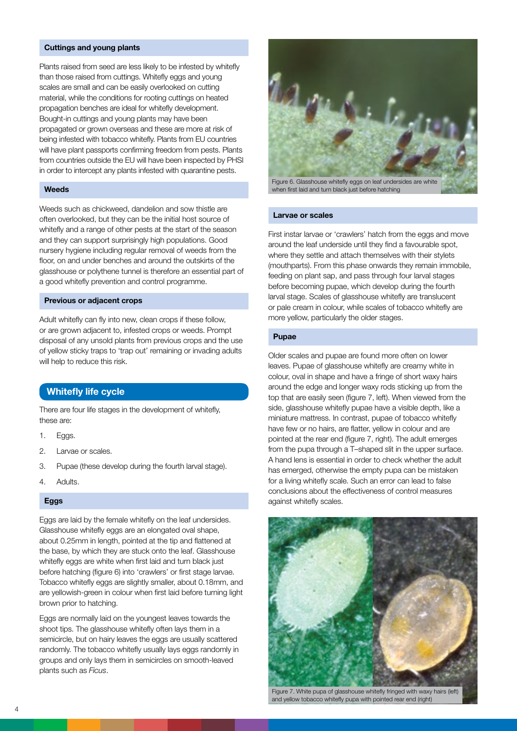#### **Cuttings and young plants**

Plants raised from seed are less likely to be infested by whitefly than those raised from cuttings. Whitefly eggs and young scales are small and can be easily overlooked on cutting material, while the conditions for rooting cuttings on heated propagation benches are ideal for whitefly development. Bought-in cuttings and young plants may have been propagated or grown overseas and these are more at risk of being infested with tobacco whitefly. Plants from EU countries will have plant passports confirming freedom from pests. Plants from countries outside the EU will have been inspected by PHSI in order to intercept any plants infested with quarantine pests.

#### **Weeds**

Weeds such as chickweed, dandelion and sow thistle are often overlooked, but they can be the initial host source of whitefly and a range of other pests at the start of the season and they can support surprisingly high populations. Good nursery hygiene including regular removal of weeds from the floor, on and under benches and around the outskirts of the glasshouse or polythene tunnel is therefore an essential part of a good whitefly prevention and control programme.

#### **Previous or adjacent crops**

Adult whitefly can fly into new, clean crops if these follow, or are grown adjacent to, infested crops or weeds. Prompt disposal of any unsold plants from previous crops and the use of yellow sticky traps to 'trap out' remaining or invading adults will help to reduce this risk.

#### **Whitefly life cycle**

There are four life stages in the development of whitefly, these are:

- 1. Eggs.
- 2. Larvae or scales.
- 3. Pupae (these develop during the fourth larval stage).
- 4. Adults.

#### **Eggs**

Eggs are laid by the female whitefly on the leaf undersides. Glasshouse whitefly eggs are an elongated oval shape, about 0.25mm in length, pointed at the tip and flattened at the base, by which they are stuck onto the leaf. Glasshouse whitefly eggs are white when first laid and turn black just before hatching (figure 6) into 'crawlers' or first stage larvae. Tobacco whitefly eggs are slightly smaller, about 0.18mm, and are yellowish-green in colour when first laid before turning light brown prior to hatching.

Eggs are normally laid on the youngest leaves towards the shoot tips. The glasshouse whitefly often lays them in a semicircle, but on hairy leaves the eggs are usually scattered randomly. The tobacco whitefly usually lays eggs randomly in groups and only lays them in semicircles on smooth-leaved plants such as *Ficus*.



when first laid and turn black just before hatching

#### **Larvae or scales**

First instar larvae or 'crawlers' hatch from the eggs and move around the leaf underside until they find a favourable spot, where they settle and attach themselves with their stylets (mouthparts). From this phase onwards they remain immobile, feeding on plant sap, and pass through four larval stages before becoming pupae, which develop during the fourth larval stage. Scales of glasshouse whitefly are translucent or pale cream in colour, while scales of tobacco whitefly are more yellow, particularly the older stages.

#### **Pupae**

Older scales and pupae are found more often on lower leaves. Pupae of glasshouse whitefly are creamy white in colour, oval in shape and have a fringe of short waxy hairs around the edge and longer waxy rods sticking up from the top that are easily seen (figure 7, left). When viewed from the side, glasshouse whitefly pupae have a visible depth, like a miniature mattress. In contrast, pupae of tobacco whitefly have few or no hairs, are flatter, yellow in colour and are pointed at the rear end (figure 7, right). The adult emerges from the pupa through a T–shaped slit in the upper surface. A hand lens is essential in order to check whether the adult has emerged, otherwise the empty pupa can be mistaken for a living whitefly scale. Such an error can lead to false conclusions about the effectiveness of control measures against whitefly scales.



Figure 7. White pupa of glasshouse whitefly fringed with waxy hairs (left) and yellow tobacco whitefly pupa with pointed rear end (right)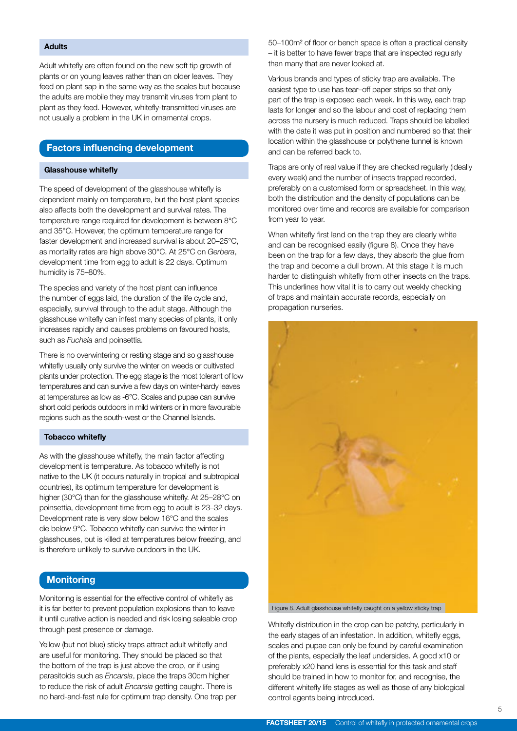#### **Adults**

Adult whitefly are often found on the new soft tip growth of plants or on young leaves rather than on older leaves. They feed on plant sap in the same way as the scales but because the adults are mobile they may transmit viruses from plant to plant as they feed. However, whitefly-transmitted viruses are not usually a problem in the UK in ornamental crops.

# **Factors influencing development**

#### **Glasshouse whitefly**

The speed of development of the glasshouse whitefly is dependent mainly on temperature, but the host plant species also affects both the development and survival rates. The temperature range required for development is between 8°C and 35°C. However, the optimum temperature range for faster development and increased survival is about 20–25°C, as mortality rates are high above 30°C. At 25°C on *Gerbera*, development time from egg to adult is 22 days. Optimum humidity is 75–80%.

The species and variety of the host plant can influence the number of eggs laid, the duration of the life cycle and, especially, survival through to the adult stage. Although the glasshouse whitefly can infest many species of plants, it only increases rapidly and causes problems on favoured hosts, such as *Fuchsia* and poinsettia.

There is no overwintering or resting stage and so glasshouse whitefly usually only survive the winter on weeds or cultivated plants under protection. The egg stage is the most tolerant of low temperatures and can survive a few days on winter-hardy leaves at temperatures as low as -6°C. Scales and pupae can survive short cold periods outdoors in mild winters or in more favourable regions such as the south-west or the Channel Islands.

#### **Tobacco whitefly**

As with the glasshouse whitefly, the main factor affecting development is temperature. As tobacco whitefly is not native to the UK (it occurs naturally in tropical and subtropical countries), its optimum temperature for development is higher (30°C) than for the glasshouse whitefly. At 25–28°C on poinsettia, development time from egg to adult is 23–32 days. Development rate is very slow below 16°C and the scales die below 9°C. Tobacco whitefly can survive the winter in glasshouses, but is killed at temperatures below freezing, and is therefore unlikely to survive outdoors in the UK.

### **Monitoring**

Monitoring is essential for the effective control of whitefly as it is far better to prevent population explosions than to leave it until curative action is needed and risk losing saleable crop through pest presence or damage.

Yellow (but not blue) sticky traps attract adult whitefly and are useful for monitoring. They should be placed so that the bottom of the trap is just above the crop, or if using parasitoids such as *Encarsia*, place the traps 30cm higher to reduce the risk of adult *Encarsia* getting caught. There is no hard-and-fast rule for optimum trap density. One trap per

50–100m² of floor or bench space is often a practical density – it is better to have fewer traps that are inspected regularly than many that are never looked at.

Various brands and types of sticky trap are available. The easiest type to use has tear–off paper strips so that only part of the trap is exposed each week. In this way, each trap lasts for longer and so the labour and cost of replacing them across the nursery is much reduced. Traps should be labelled with the date it was put in position and numbered so that their location within the glasshouse or polythene tunnel is known and can be referred back to.

Traps are only of real value if they are checked regularly (ideally every week) and the number of insects trapped recorded, preferably on a customised form or spreadsheet. In this way, both the distribution and the density of populations can be monitored over time and records are available for comparison from year to year.

When whitefly first land on the trap they are clearly white and can be recognised easily (figure 8). Once they have been on the trap for a few days, they absorb the glue from the trap and become a dull brown. At this stage it is much harder to distinguish whitefly from other insects on the traps. This underlines how vital it is to carry out weekly checking of traps and maintain accurate records, especially on propagation nurseries.



Figure 8. Adult glasshouse whitefly caught on a yellow sticky trap

Whitefly distribution in the crop can be patchy, particularly in the early stages of an infestation. In addition, whitefly eggs, scales and pupae can only be found by careful examination of the plants, especially the leaf undersides. A good x10 or preferably x20 hand lens is essential for this task and staff should be trained in how to monitor for, and recognise, the different whitefly life stages as well as those of any biological control agents being introduced.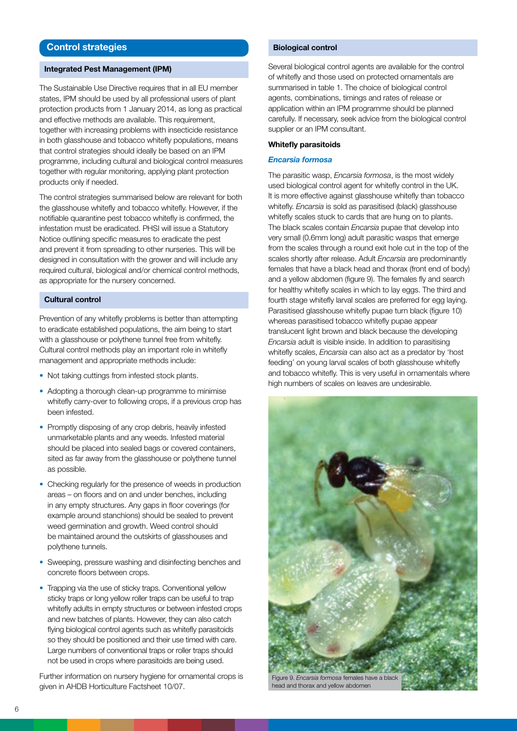# **Control strategies**

#### **Integrated Pest Management (IPM)**

The Sustainable Use Directive requires that in all EU member states, IPM should be used by all professional users of plant protection products from 1 January 2014, as long as practical and effective methods are available. This requirement, together with increasing problems with insecticide resistance in both glasshouse and tobacco whitefly populations, means that control strategies should ideally be based on an IPM programme, including cultural and biological control measures together with regular monitoring, applying plant protection products only if needed.

The control strategies summarised below are relevant for both the glasshouse whitefly and tobacco whitefly. However, if the notifiable quarantine pest tobacco whitefly is confirmed, the infestation must be eradicated. PHSI will issue a Statutory Notice outlining specific measures to eradicate the pest and prevent it from spreading to other nurseries. This will be designed in consultation with the grower and will include any required cultural, biological and/or chemical control methods, as appropriate for the nursery concerned.

#### **Cultural control**

Prevention of any whitefly problems is better than attempting to eradicate established populations, the aim being to start with a glasshouse or polythene tunnel free from whitefly. Cultural control methods play an important role in whitefly management and appropriate methods include:

- Not taking cuttings from infested stock plants.
- Adopting a thorough clean-up programme to minimise whitefly carry-over to following crops, if a previous crop has been infested.
- Promptly disposing of any crop debris, heavily infested unmarketable plants and any weeds. Infested material should be placed into sealed bags or covered containers, sited as far away from the glasshouse or polythene tunnel as possible.
- Checking regularly for the presence of weeds in production areas – on floors and on and under benches, including in any empty structures. Any gaps in floor coverings (for example around stanchions) should be sealed to prevent weed germination and growth. Weed control should be maintained around the outskirts of glasshouses and polythene tunnels.
- Sweeping, pressure washing and disinfecting benches and concrete floors between crops.
- Trapping via the use of sticky traps. Conventional yellow sticky traps or long yellow roller traps can be useful to trap whitefly adults in empty structures or between infested crops and new batches of plants. However, they can also catch flying biological control agents such as whitefly parasitoids so they should be positioned and their use timed with care. Large numbers of conventional traps or roller traps should not be used in crops where parasitoids are being used.

Further information on nursery hygiene for ornamental crops is given in AHDB Horticulture Factsheet 10/07.

#### **Biological control**

Several biological control agents are available for the control of whitefly and those used on protected ornamentals are summarised in table 1. The choice of biological control agents, combinations, timings and rates of release or application within an IPM programme should be planned carefully. If necessary, seek advice from the biological control supplier or an IPM consultant.

#### **Whitefly parasitoids**

#### *Encarsia formosa*

The parasitic wasp, *Encarsia formosa*, is the most widely used biological control agent for whitefly control in the UK. It is more effective against glasshouse whitefly than tobacco whitefly. *Encarsia* is sold as parasitised (black) glasshouse whitefly scales stuck to cards that are hung on to plants. The black scales contain *Encarsia* pupae that develop into very small (0.6mm long) adult parasitic wasps that emerge from the scales through a round exit hole cut in the top of the scales shortly after release. Adult *Encarsia* are predominantly females that have a black head and thorax (front end of body) and a yellow abdomen (figure 9). The females fly and search for healthy whitefly scales in which to lay eggs. The third and fourth stage whitefly larval scales are preferred for egg laying. Parasitised glasshouse whitefly pupae turn black (figure 10) whereas parasitised tobacco whitefly pupae appear translucent light brown and black because the developing *Encarsia* adult is visible inside. In addition to parasitising whitefly scales, *Encarsia* can also act as a predator by 'host feeding' on young larval scales of both glasshouse whitefly and tobacco whitefly. This is very useful in ornamentals where high numbers of scales on leaves are undesirable.



head and thorax and yellow abdomen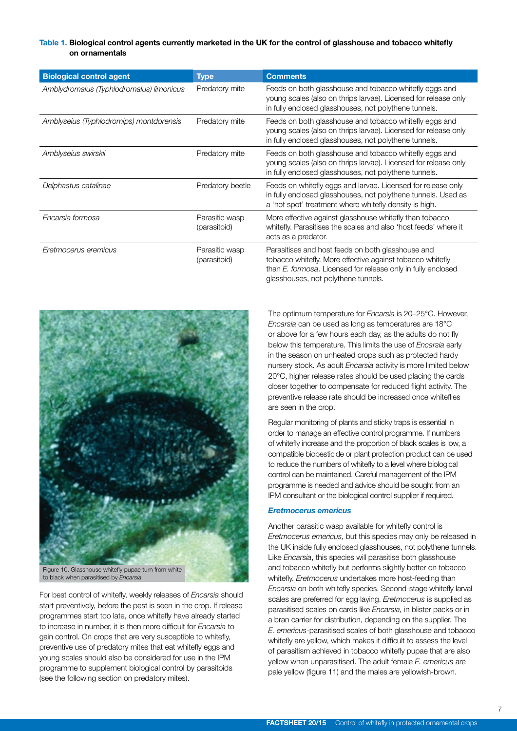# **Table 1. Biological control agents currently marketed in the UK for the control of glasshouse and tobacco whitefly on ornamentals**

| <b>Biological control agent</b>          | Type                           | <b>Comments</b>                                                                                                                                                                                                       |
|------------------------------------------|--------------------------------|-----------------------------------------------------------------------------------------------------------------------------------------------------------------------------------------------------------------------|
| Amblydromalus (Typhlodromalus) limonicus | Predatory mite                 | Feeds on both glasshouse and tobacco whitefly eggs and<br>young scales (also on thrips larvae). Licensed for release only<br>in fully enclosed glasshouses, not polythene tunnels.                                    |
| Amblyseius (Typhlodromips) montdorensis  | Predatory mite                 | Feeds on both glasshouse and tobacco whitefly eggs and<br>young scales (also on thrips larvae). Licensed for release only<br>in fully enclosed glasshouses, not polythene tunnels.                                    |
| Amblyseius swirskii                      | Predatory mite                 | Feeds on both glasshouse and tobacco whitefly eggs and<br>young scales (also on thrips larvae). Licensed for release only<br>in fully enclosed glasshouses, not polythene tunnels.                                    |
| Delphastus catalinae                     | Predatory beetle               | Feeds on whitefly eggs and larvae. Licensed for release only<br>in fully enclosed glasshouses, not polythene tunnels. Used as<br>a 'hot spot' treatment where whitefly density is high.                               |
| Encarsia formosa                         | Parasitic wasp<br>(parasitoid) | More effective against glasshouse whitefly than tobacco<br>whitefly. Parasitises the scales and also 'host feeds' where it<br>acts as a predator.                                                                     |
| Eretmocerus eremicus                     | Parasitic wasp<br>(parasitoid) | Parasitises and host feeds on both glasshouse and<br>tobacco whitefly. More effective against tobacco whitefly<br>than E. formosa. Licensed for release only in fully enclosed<br>glasshouses, not polythene tunnels. |



Figure 10. Glasshouse whitefly pupae turn from white to black when parasitised by *Encarsia*

For best control of whitefly, weekly releases of *Encarsia* should start preventively, before the pest is seen in the crop. If release programmes start too late, once whitefly have already started to increase in number, it is then more difficult for *Encarsia* to gain control. On crops that are very susceptible to whitefly, preventive use of predatory mites that eat whitefly eggs and young scales should also be considered for use in the IPM programme to supplement biological control by parasitoids (see the following section on predatory mites).

The optimum temperature for *Encarsia* is 20–25°C. However, *Encarsia* can be used as long as temperatures are 18°C or above for a few hours each day, as the adults do not fly below this temperature. This limits the use of *Encarsia* early in the season on unheated crops such as protected hardy nursery stock. As adult *Encarsia* activity is more limited below 20°C, higher release rates should be used placing the cards closer together to compensate for reduced flight activity. The preventive release rate should be increased once whiteflies are seen in the crop.

Regular monitoring of plants and sticky traps is essential in order to manage an effective control programme. If numbers of whitefly increase and the proportion of black scales is low, a compatible biopesticide or plant protection product can be used to reduce the numbers of whitefly to a level where biological control can be maintained. Careful management of the IPM programme is needed and advice should be sought from an IPM consultant or the biological control supplier if required.

#### *Eretmocerus emericus*

Another parasitic wasp available for whitefly control is *Eretmocerus emericus,* but this species may only be released in the UK inside fully enclosed glasshouses, not polythene tunnels. Like *Encarsia*, this species will parasitise both glasshouse and tobacco whitefly but performs slightly better on tobacco whitefly. *Eretmocerus* undertakes more host-feeding than *Encarsia* on both whitefly species. Second-stage whitefly larval scales are preferred for egg laying. *Eretmocerus* is supplied as parasitised scales on cards like *Encarsia,* in blister packs or in a bran carrier for distribution, depending on the supplier. The *E. emericus*-parasitised scales of both glasshouse and tobacco whitefly are yellow, which makes it difficult to assess the level of parasitism achieved in tobacco whitefly pupae that are also yellow when unparasitised. The adult female *E. emericus* are pale yellow (figure 11) and the males are yellowish-brown.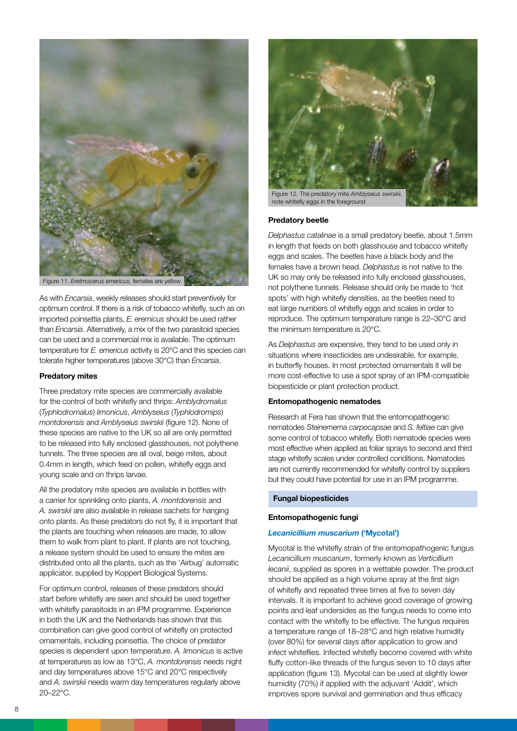

Figure 11. *Eretmocerus emericus,* females are yellow

As with *Encarsia*, weekly releases should start preventively for optimum control. If there is a risk of tobacco whitefly, such as on imported poinsettia plants, *E. eremicus* should be used rather than *Encarsia*. Alternatively, a mix of the two parasitoid species can be used and a commercial mix is available. The optimum temperature for *E. emericus* activity is 20°C and this species can tolerate higher temperatures (above 30°C) than *Encarsia*.

# **Predatory mites**

Three predatory mite species are commercially available for the control of both whitefly and thrips: *Amblydromalus* (*Typhlodromalus*) *limonicus*, *Amblyseius* (*Typhlodromips*) *montdorensis* and *Amblyseius swirskii* (figure 12). None of these species are native to the UK so all are only permitted to be released into fully enclosed glasshouses, not polythene tunnels. The three species are all oval, beige mites, about 0.4mm in length, which feed on pollen, whitefly eggs and young scale and on thrips larvae.

All the predatory mite species are available in bottles with a carrier for sprinkling onto plants, *A. montdorensis* and *A. swirskii* are also available in release sachets for hanging onto plants. As these predators do not fly, it is important that the plants are touching when releases are made, to allow them to walk from plant to plant. If plants are not touching, a release system should be used to ensure the mites are distributed onto all the plants, such as the 'Airbug' automatic applicator, supplied by Koppert Biological Systems.

For optimum control, releases of these predators should start before whitefly are seen and should be used together with whitefly parasitoids in an IPM programme. Experience in both the UK and the Netherlands has shown that this combination can give good control of whitefly on protected ornamentals, including poinsettia. The choice of predator species is dependent upon temperature. *A. limonicus* is active at temperatures as low as 13°C, *A. montdorensis* needs night and day temperatures above 15°C and 20°C respectively and *A. swirskii* needs warm day temperatures regularly above 20–22°C.



**Predatory beetle**

*Delphastus catalinae* is a small predatory beetle, about 1.5mm in length that feeds on both glasshouse and tobacco whitefly eggs and scales. The beetles have a black body and the females have a brown head. *Delphastus* is not native to the UK so may only be released into fully enclosed glasshouses, not polythene tunnels. Release should only be made to 'hot spots' with high whitefly densities, as the beetles need to eat large numbers of whitefly eggs and scales in order to reproduce. The optimum temperature range is 22–30°C and the minimum temperature is 20°C.

As *Delphastus* are expensive, they tend to be used only in situations where insecticides are undesirable, for example, in butterfly houses. In most protected ornamentals it will be more cost-effective to use a spot spray of an IPM-compatible biopesticide or plant protection product.

#### **Entomopathogenic nematodes**

Research at Fera has shown that the entomopathogenic nematodes *Steinernema carpocapsae* and *S. feltiae* can give some control of tobacco whitefly. Both nematode species were most effective when applied as foliar sprays to second and third stage whitefly scales under controlled conditions. Nematodes are not currently recommended for whitefly control by suppliers but they could have potential for use in an IPM programme.

# **Fungal biopesticides**

#### **Entomopathogenic fungi**

### *Lecanicillium muscarium* **('Mycotal')**

Mycotal is the whitefly strain of the entomopathogenic fungus *Lecanicillium muscarium*, formerly known as *Verticillium lecanii*, supplied as spores in a wettable powder. The product should be applied as a high volume spray at the first sign of whitefly and repeated three times at five to seven day intervals. It is important to achieve good coverage of growing points and leaf undersides as the fungus needs to come into contact with the whitefly to be effective. The fungus requires a temperature range of 18–28°C and high relative humidity (over 80%) for several days after application to grow and infect whiteflies. Infected whitefly become covered with white fluffy cotton-like threads of the fungus seven to 10 days after application (figure 13). Mycotal can be used at slightly lower humidity (70%) if applied with the adjuvant 'Addit', which improves spore survival and germination and thus efficacy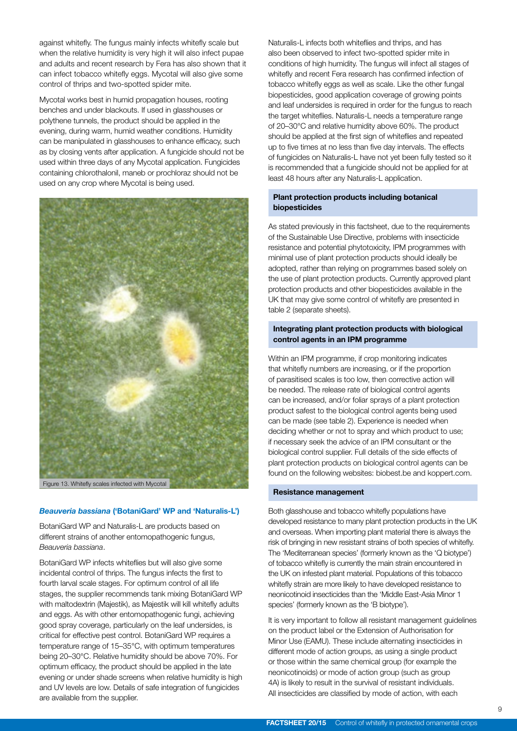against whitefly. The fungus mainly infects whitefly scale but when the relative humidity is very high it will also infect pupae and adults and recent research by Fera has also shown that it can infect tobacco whitefly eggs. Mycotal will also give some control of thrips and two-spotted spider mite.

Mycotal works best in humid propagation houses, rooting benches and under blackouts. If used in glasshouses or polythene tunnels, the product should be applied in the evening, during warm, humid weather conditions. Humidity can be manipulated in glasshouses to enhance efficacy, such as by closing vents after application. A fungicide should not be used within three days of any Mycotal application. Fungicides containing chlorothalonil, maneb or prochloraz should not be used on any crop where Mycotal is being used.



#### *Beauveria bassiana* **('BotaniGard' WP and 'Naturalis-L')**

BotaniGard WP and Naturalis-L are products based on different strains of another entomopathogenic fungus, *Beauveria bassiana*.

BotaniGard WP infects whiteflies but will also give some incidental control of thrips. The fungus infects the first to fourth larval scale stages. For optimum control of all life stages, the supplier recommends tank mixing BotaniGard WP with maltodextrin (Majestik), as Majestik will kill whitefly adults and eggs. As with other entomopathogenic fungi, achieving good spray coverage, particularly on the leaf undersides, is critical for effective pest control. BotaniGard WP requires a temperature range of 15–35°C, with optimum temperatures being 20–30°C. Relative humidity should be above 70%. For optimum efficacy, the product should be applied in the late evening or under shade screens when relative humidity is high and UV levels are low. Details of safe integration of fungicides are available from the supplier.

Naturalis-L infects both whiteflies and thrips, and has also been observed to infect two-spotted spider mite in conditions of high humidity. The fungus will infect all stages of whitefly and recent Fera research has confirmed infection of tobacco whitefly eggs as well as scale. Like the other fungal biopesticides, good application coverage of growing points and leaf undersides is required in order for the fungus to reach the target whiteflies. Naturalis-L needs a temperature range of 20–30°C and relative humidity above 60%. The product should be applied at the first sign of whiteflies and repeated up to five times at no less than five day intervals. The effects of fungicides on Naturalis-L have not yet been fully tested so it is recommended that a fungicide should not be applied for at least 48 hours after any Naturalis-L application.

#### **Plant protection products including botanical biopesticides**

As stated previously in this factsheet, due to the requirements of the Sustainable Use Directive, problems with insecticide resistance and potential phytotoxicity, IPM programmes with minimal use of plant protection products should ideally be adopted, rather than relying on programmes based solely on the use of plant protection products. Currently approved plant protection products and other biopesticides available in the UK that may give some control of whitefly are presented in table 2 (separate sheets).

# **Integrating plant protection products with biological control agents in an IPM programme**

Within an IPM programme, if crop monitoring indicates that whitefly numbers are increasing, or if the proportion of parasitised scales is too low, then corrective action will be needed. The release rate of biological control agents can be increased, and/or foliar sprays of a plant protection product safest to the biological control agents being used can be made (see table 2). Experience is needed when deciding whether or not to spray and which product to use; if necessary seek the advice of an IPM consultant or the biological control supplier. Full details of the side effects of plant protection products on biological control agents can be found on the following websites: biobest.be and koppert.com.

#### **Resistance management**

Both glasshouse and tobacco whitefly populations have developed resistance to many plant protection products in the UK and overseas. When importing plant material there is always the risk of bringing in new resistant strains of both species of whitefly. The 'Mediterranean species' (formerly known as the 'Q biotype') of tobacco whitefly is currently the main strain encountered in the UK on infested plant material. Populations of this tobacco whitefly strain are more likely to have developed resistance to neonicotinoid insecticides than the 'Middle East-Asia Minor 1 species' (formerly known as the 'B biotype').

It is very important to follow all resistant management guidelines on the product label or the Extension of Authorisation for Minor Use (EAMU). These include alternating insecticides in different mode of action groups, as using a single product or those within the same chemical group (for example the neonicotinoids) or mode of action group (such as group 4A) is likely to result in the survival of resistant individuals. All insecticides are classified by mode of action, with each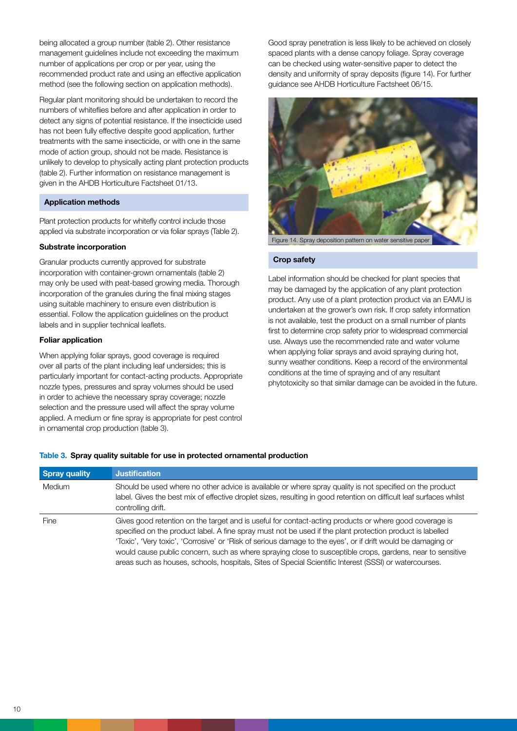being allocated a group number (table 2). Other resistance management guidelines include not exceeding the maximum number of applications per crop or per year, using the recommended product rate and using an effective application method (see the following section on application methods).

Regular plant monitoring should be undertaken to record the numbers of whiteflies before and after application in order to detect any signs of potential resistance. If the insecticide used has not been fully effective despite good application, further treatments with the same insecticide, or with one in the same mode of action group, should not be made. Resistance is unlikely to develop to physically acting plant protection products (table 2). Further information on resistance management is given in the AHDB Horticulture Factsheet 01/13.

#### **Application methods**

Plant protection products for whitefly control include those applied via substrate incorporation or via foliar sprays (Table 2).

#### **Substrate incorporation**

Granular products currently approved for substrate incorporation with container-grown ornamentals (table 2) may only be used with peat-based growing media. Thorough incorporation of the granules during the final mixing stages using suitable machinery to ensure even distribution is essential. Follow the application guidelines on the product labels and in supplier technical leaflets.

#### **Foliar application**

When applying foliar sprays, good coverage is required over all parts of the plant including leaf undersides; this is particularly important for contact-acting products. Appropriate nozzle types, pressures and spray volumes should be used in order to achieve the necessary spray coverage; nozzle selection and the pressure used will affect the spray volume applied. A medium or fine spray is appropriate for pest control in ornamental crop production (table 3).

Good spray penetration is less likely to be achieved on closely spaced plants with a dense canopy foliage. Spray coverage can be checked using water-sensitive paper to detect the density and uniformity of spray deposits (figure 14). For further guidance see AHDB Horticulture Factsheet 06/15.



Figure 14. Spray deposition pattern on water sensitive paper

#### **Crop safety**

Label information should be checked for plant species that may be damaged by the application of any plant protection product. Any use of a plant protection product via an EAMU is undertaken at the grower's own risk. If crop safety information is not available, test the product on a small number of plants first to determine crop safety prior to widespread commercial use. Always use the recommended rate and water volume when applying foliar sprays and avoid spraying during hot, sunny weather conditions. Keep a record of the environmental conditions at the time of spraying and of any resultant phytotoxicity so that similar damage can be avoided in the future.

| <b>Spray quality</b> | <b>Justification</b>                                                                                                                                                                                                                                                                                                                                                                                                                                                                                                                                       |
|----------------------|------------------------------------------------------------------------------------------------------------------------------------------------------------------------------------------------------------------------------------------------------------------------------------------------------------------------------------------------------------------------------------------------------------------------------------------------------------------------------------------------------------------------------------------------------------|
| <b>Medium</b>        | Should be used where no other advice is available or where spray quality is not specified on the product<br>label. Gives the best mix of effective droplet sizes, resulting in good retention on difficult leaf surfaces whilst<br>controlling drift.                                                                                                                                                                                                                                                                                                      |
| Fine                 | Gives good retention on the target and is useful for contact-acting products or where good coverage is<br>specified on the product label. A fine spray must not be used if the plant protection product is labelled<br>'Toxic', 'Very toxic', 'Corrosive' or 'Risk of serious damage to the eyes', or if drift would be damaging or<br>would cause public concern, such as where spraying close to susceptible crops, gardens, near to sensitive<br>areas such as houses, schools, hospitals, Sites of Special Scientific Interest (SSSI) or watercourses. |

#### **Table 3. Spray quality suitable for use in protected ornamental production**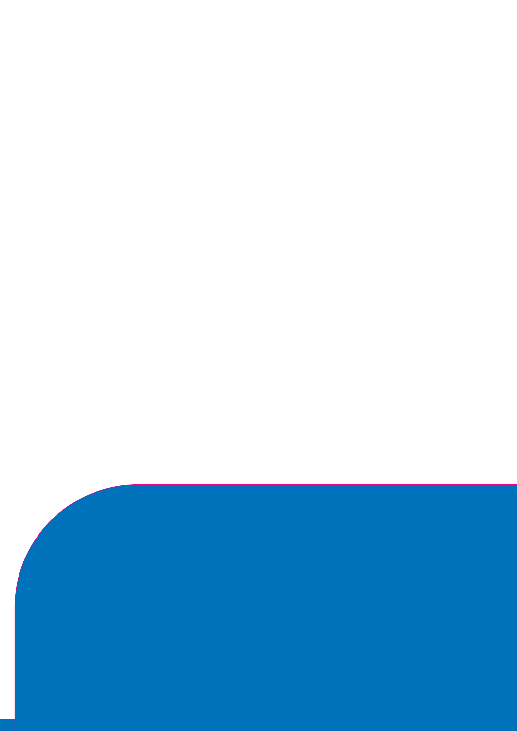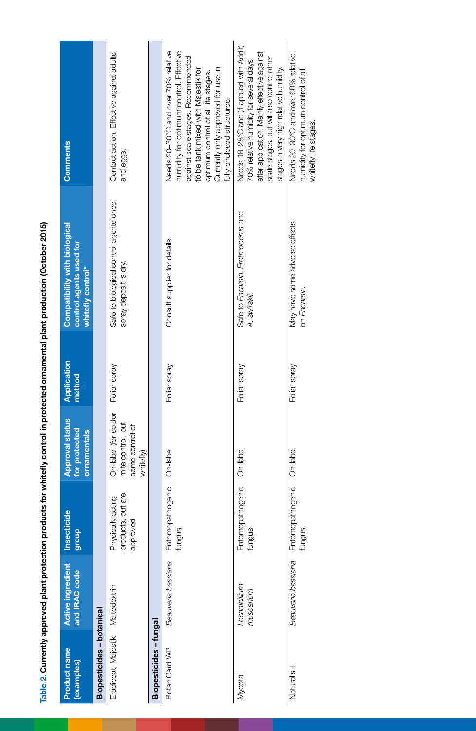| <b>Comments</b>                                                               |                           | Contact action. Effective against adults                                     |                        | Needs 20-30°C and over 70% relative<br>humidity for optimum control. Effective<br>against scale stages. Recommended<br>to be tank mixed with Majestik for<br>Currently only approved for use in<br>optimum control of all life stages.<br>fully enclosed structures. | Needs 18-28°C and (if applied with Addit)<br>after application. Mainly effective against<br>scale stages, but will also control other<br>70% relative humidity for several days<br>stages in very high relative humidity. | Needs 20-30°C and over 60% relative<br>humidity for optimum control of all<br>whitefly life stages. |
|-------------------------------------------------------------------------------|---------------------------|------------------------------------------------------------------------------|------------------------|----------------------------------------------------------------------------------------------------------------------------------------------------------------------------------------------------------------------------------------------------------------------|---------------------------------------------------------------------------------------------------------------------------------------------------------------------------------------------------------------------------|-----------------------------------------------------------------------------------------------------|
|                                                                               |                           | and eggs.                                                                    |                        |                                                                                                                                                                                                                                                                      |                                                                                                                                                                                                                           |                                                                                                     |
| Compatibility with biological<br>control agents used for<br>whitefly control* |                           | Safe to biological control agents once<br>spray deposit is dry.              |                        | Consult supplier for details.                                                                                                                                                                                                                                        | Safe to Encarsia, Eretmocerus and<br>A. swirskii.                                                                                                                                                                         | May have some adverse effects<br>on Encarsia.                                                       |
| <b>Application</b><br>method                                                  |                           | Foliar spray                                                                 |                        | Foliar spray                                                                                                                                                                                                                                                         | Foliar spray                                                                                                                                                                                                              | Foliar spray                                                                                        |
| <b>Approval status</b><br>for protected<br>ornamentals                        |                           | spider<br>mite control, but<br>some control of<br>On-label (for<br>whitefly) |                        | On-label                                                                                                                                                                                                                                                             | On-label                                                                                                                                                                                                                  | On-label                                                                                            |
| Insecticide<br>dnoub                                                          |                           | products, but are<br>Physically acting<br>approved                           |                        | Entomopathogenic<br>fungus                                                                                                                                                                                                                                           | Entomopathogenic<br>fungus                                                                                                                                                                                                | Entomopathogenic<br>fungus                                                                          |
| <b>Active ingredient</b><br>and IRAC code                                     |                           |                                                                              |                        | Beauveria bassiana                                                                                                                                                                                                                                                   | Lecanicillium<br>muscarium                                                                                                                                                                                                | Beauveria bassiana                                                                                  |
| Product name<br>(examples)                                                    | Biopesticides - botanical | Eradicoat, Majestik Maltodextrin                                             | Biopesticides - fungal | BotaniGard WP                                                                                                                                                                                                                                                        | Mycotal                                                                                                                                                                                                                   | Naturalis-L                                                                                         |

Table 2. Currently approved plant protection products for whitefly control in protected ornamental plant production (October 2015) **Table 2. Currently approved plant protection products for whitefly control in protected ornamental plant production (October 2015)**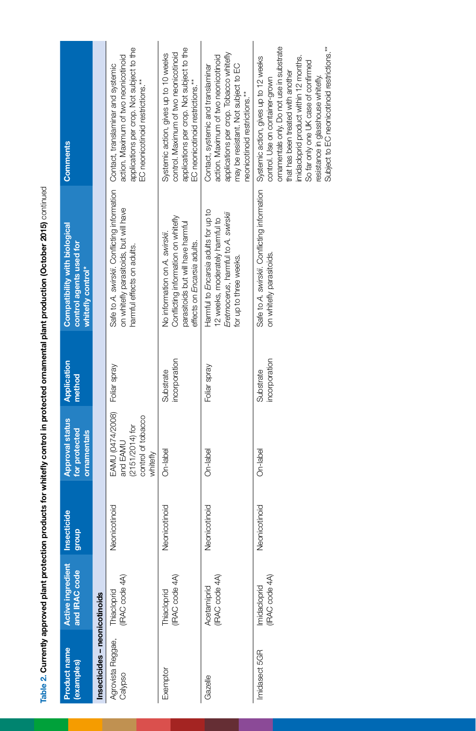Table 2. Currently approved plant protection products for whitefly control in protected ornamental plant production (October 2015) continued **Table 2. Currently approved plant protection products for whitefly control in protected ornamental plant production (October 2015)** continued

| <b>Comments</b>                                                                      |                               | applications per crop. Not subject to the<br>action. Maximum of two neonicotinoid<br>EC neonicotinoid restrictions.**                                   | applications per crop. Not subject to the<br>control. Maximum of two neonicotinoid<br>Systemic action, gives up to 10 weeks<br>EC neonicotinoid restrictions.** | applications per crop. Tobacco whitefly<br>action. Maximum of two neonicotinoid<br>may be resistant. Not subject to EC<br>Contact, systemic and translaminar<br>neonicotinoid restrictions.** | ornamentals only. Do not use in substrate<br>Subject to EC neonicotinoid restrictions.**<br>imidacloprid product within 12 months.<br>Systemic action, gives up to 12 weeks<br>So far only one UK case of confirmed<br>that has been treated with another<br>resistance in glasshouse whitefly.<br>control. Use on container-grown |
|--------------------------------------------------------------------------------------|-------------------------------|---------------------------------------------------------------------------------------------------------------------------------------------------------|-----------------------------------------------------------------------------------------------------------------------------------------------------------------|-----------------------------------------------------------------------------------------------------------------------------------------------------------------------------------------------|------------------------------------------------------------------------------------------------------------------------------------------------------------------------------------------------------------------------------------------------------------------------------------------------------------------------------------|
| <b>Compatibility with biological</b><br>control agents used for<br>whitefly control* |                               | Safe to A. swirskii. Conflicting information Contact, translaminar and systemic<br>on whitefly parasitoids, but will have<br>harmful effects on adults. | Conflicting information on whitefly<br>parasitoids but will have harmful<br>No information on A. swirski.<br>effects on Encarsia adults.                        | Harmful to Encarsia adults for up to<br>Eretmocerus, harmful to A. swirskii<br>12 weeks, moderately harmful to<br>for up to three weeks.                                                      | Safe to A. swirskii. Conflicting information<br>on whitefly parasitoids.                                                                                                                                                                                                                                                           |
| Application<br>method                                                                |                               |                                                                                                                                                         | incorporation<br>Substrate                                                                                                                                      | Foliar spray                                                                                                                                                                                  | incorporation<br>Substrate                                                                                                                                                                                                                                                                                                         |
| <b>Approval status</b><br>for protected<br><b><u>ornamentals</u></b>                 |                               | EAMU (0474/2008) Foliar spray<br>control of tobacco<br>$(2151/2014)$ for<br>and EAMU<br>whitefly                                                        | On-label                                                                                                                                                        | On-label                                                                                                                                                                                      | On-label                                                                                                                                                                                                                                                                                                                           |
| <b>Insecticide</b><br>dhouf                                                          |                               | Neonicotinoid                                                                                                                                           | Neonicotinoid                                                                                                                                                   | Neonicotinoid                                                                                                                                                                                 | Neonicotinoid                                                                                                                                                                                                                                                                                                                      |
| <b>Active ingredient</b><br>and IRAC code                                            |                               | (IRAC code 4A)<br>Thiacloprid                                                                                                                           | (IRAC code 4A)<br>Thiacloprid                                                                                                                                   | (IRAC code 4A)<br>Acetamiprid                                                                                                                                                                 | (IRAC code 4A)<br>Imidacloprid                                                                                                                                                                                                                                                                                                     |
| <b>Product name</b><br>(examples)                                                    | Insecticides - neonicotinoids | Agrovista Reggae,<br>Calypso                                                                                                                            | Exemptor                                                                                                                                                        | Gazelle                                                                                                                                                                                       | Imidasect 5GR                                                                                                                                                                                                                                                                                                                      |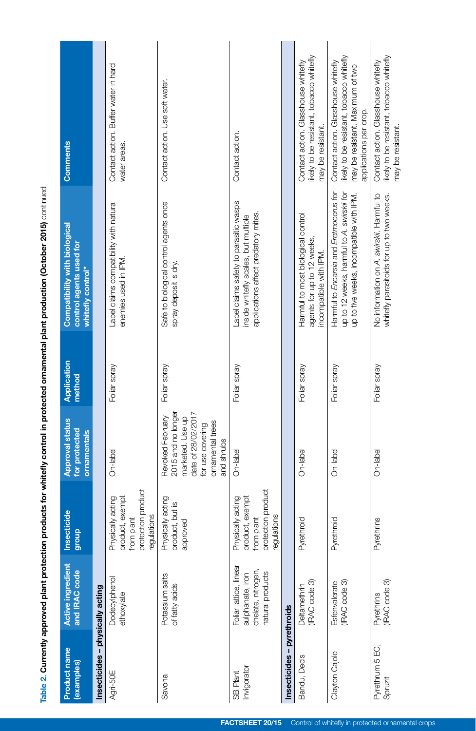| <b>Comments</b><br><b>Compatibility with biological</b><br>control agents used for<br>whitefly control* |                                  | Contact action. Buffer water in hard<br>water areas.<br>Label claims compatibility with natural<br>enemies used in IPM. | Contact action. Use soft water.<br>Safe to biological control agents once<br>spray deposit is dry.                                           | Contact action.<br>Label claims safety to parasitic wasps<br>applications affect predatory mites.<br>inside whitefly scales, but multiple |                            | likely to be resistant, tobacco whitefly<br>Contact action. Glasshouse whitefly<br>may be resistant.<br>Harmful to most biological control<br>agents for up to 12 weeks,<br>ncompatible with IPM. | likely to be resistant, tobacco whitefly<br>Contact action. Glasshouse whitefly<br>may be resistant. Maximum of two<br>applications per crop.<br>Harmful to Encarsia and Eretmocerus for<br>up to 12 weeks, harmful to A. swirskii for<br>up to five weeks, incompatible with IPM. | likely to be resistant, tobacco whitefly<br>Contact action. Glasshouse whitefly<br>No information on A. swirskii. Harmful to<br>whitefly parasitoids for up to two weeks. |
|---------------------------------------------------------------------------------------------------------|----------------------------------|-------------------------------------------------------------------------------------------------------------------------|----------------------------------------------------------------------------------------------------------------------------------------------|-------------------------------------------------------------------------------------------------------------------------------------------|----------------------------|---------------------------------------------------------------------------------------------------------------------------------------------------------------------------------------------------|------------------------------------------------------------------------------------------------------------------------------------------------------------------------------------------------------------------------------------------------------------------------------------|---------------------------------------------------------------------------------------------------------------------------------------------------------------------------|
| Application<br>method                                                                                   |                                  | Foliar spray                                                                                                            | Foliar spray                                                                                                                                 | Foliar spray                                                                                                                              |                            | Foliar spray                                                                                                                                                                                      | Foliar spray                                                                                                                                                                                                                                                                       | Foliar spray                                                                                                                                                              |
| <b>Approval status</b><br>for protected<br>ornamentals                                                  |                                  | On-label                                                                                                                | 2015 and no longer<br>date of 28/02/2017<br>Revoked February<br>Jse up<br>trees<br>for use covering<br>ornamental<br>and shrubs<br>marketed. | On-label                                                                                                                                  |                            | On-label                                                                                                                                                                                          | On-label                                                                                                                                                                                                                                                                           | On-label                                                                                                                                                                  |
| <b>Insecticide</b><br><b>group</b>                                                                      |                                  | protection product<br>product, exempt<br>Physically acting<br>regulations<br>from plant                                 | Physically acting<br>product, but is<br>pevoudde                                                                                             | protection product<br>product, exempt<br>Physically acting<br>egulations<br>from plant                                                    |                            | Pyrethroid                                                                                                                                                                                        | Pyrethroid                                                                                                                                                                                                                                                                         | Pyrethrins                                                                                                                                                                |
| <b>Active ingredient</b><br>and IRAC code                                                               |                                  | Dodecylphenol<br>ethoxylate                                                                                             | Potassium salts<br>of fatty acids                                                                                                            | Foliar lattice, linear<br>chelate, nitrogen,<br>natural products<br>sulphanate, iron                                                      |                            | (IRAC code 3)<br>Deltamethrin                                                                                                                                                                     | (IRAC code 3)<br>Esfenvalerate                                                                                                                                                                                                                                                     | (IRAC code 3)<br>Pyrethrins                                                                                                                                               |
| Product name<br>(examples)                                                                              | Insecticides - physically acting | Agri-50E                                                                                                                | Savona                                                                                                                                       | Invigorator<br>SB Plant                                                                                                                   | Insecticides - pyrethroids | Bandu, Decis                                                                                                                                                                                      | Clayton Cajole                                                                                                                                                                                                                                                                     | Pyrethrum 5 EC,<br>Spruzit                                                                                                                                                |

Table 2. Currently approved plant protection products for whitefly control in protected ornamental plant production (October 2015) continued **Table 2. Currently approved plant protection products for whitefly control in protected ornamental plant production (October 2015)** continued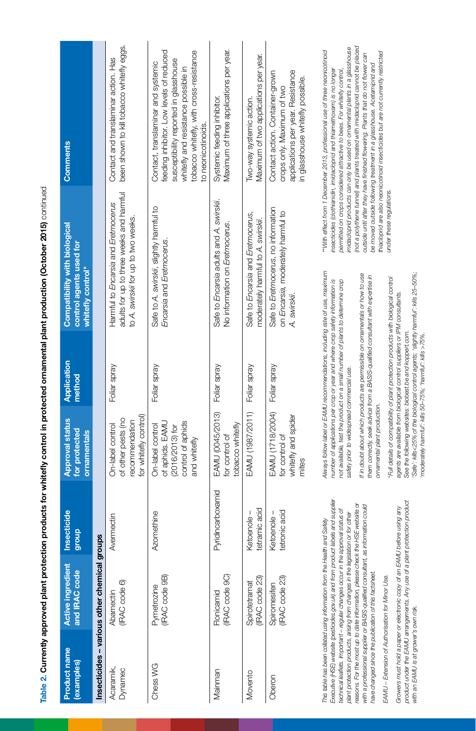Table 2. Currently approved plant protection products for whitefly control in protected ornamental plant production (October 2015) continued **Table 2. Currently approved plant protection products for whitefly control in protected ornamental plant production (October 2015)** continued

| <b>Comments</b>                                                               |                                              | been shown to kill tobacco whitefly eggs.<br>Contact and translaminar action. Has                                      | tobacco whitefly, with cross-resistance<br>feeding inhibitor. Low levels of reduced<br>susceptibility reported in glasshouse<br>Contact, translaminar and systemic<br>whitefly and resistance possible in<br>to neonicotinoids. | Maximum of three applications per year.<br>Systemic feeding inhibitor.     | Maximum of two applications per year.<br>Two-way systemic action.       | applications per year. Resistance<br>Contact action. Container-grown<br>in glasshouse whitefly possible.<br>crops only. Maximum of two |
|-------------------------------------------------------------------------------|----------------------------------------------|------------------------------------------------------------------------------------------------------------------------|---------------------------------------------------------------------------------------------------------------------------------------------------------------------------------------------------------------------------------|----------------------------------------------------------------------------|-------------------------------------------------------------------------|----------------------------------------------------------------------------------------------------------------------------------------|
| Compatibility with biological<br>control agents used for<br>whitefly control* |                                              | adults for up to three weeks and harmful<br>Harmful to Encarsia and Eretmocerus<br>to A. swirskii for up to two weeks. | Safe to A. swirskii, slightly harmful to<br>Encarsia and Eretmocerus.                                                                                                                                                           | Safe to Encarsia adults and A. swirskii.<br>No information on Eretmocerus. | Safe to Encarsia and Eretmocerus,<br>moderately harmful to A. swirskii. | Safe to Eretmocerus, no information<br>on Encarsia, moderately harmful to<br>A. swirskii.                                              |
| Application<br>method                                                         |                                              | Foliar spray                                                                                                           | Foliar spray                                                                                                                                                                                                                    | Foliar spray                                                               | Foliar spray                                                            |                                                                                                                                        |
| <b>Approval status</b><br>for protected<br>ornamentals                        |                                              | for whitefly control)<br>of other pests (no<br>recommendation<br>On-label control                                      | control of aphids<br>of aphids. EAMU<br>$(2016/2013)$ for<br>On-label control<br>and whitefly                                                                                                                                   | EAMU (0045/2013)<br>tobacco whitefly<br>for control of                     | EAMU (1987/2011)                                                        | EAMU (1718/2004) Foliar spray<br>whitefly and spider<br>for control or<br>mites                                                        |
| <b>Insecticide</b><br>dho.fo                                                  |                                              | Avermectin                                                                                                             | Azomethine                                                                                                                                                                                                                      | Pyridincarboxamid                                                          | tetramic acid<br>Ketoenole –                                            | tetronic acid<br>Ketoenole-                                                                                                            |
| <b>Active ingredient</b><br>and IRAC code                                     | Insecticides - various other chemical groups | (IRAC code 6)<br>Abamectin                                                                                             | (IRAC code 9B)<br>Pymetrozine                                                                                                                                                                                                   | (IRAC code 9C)<br>Flonicamid                                               | (IRAC code 23)<br>Spirotetramat                                         | (IRAC code 23)<br>Spiromesifen                                                                                                         |
| <b>Product name</b><br>(examples)                                             |                                              | Acaramik,<br>Dynamec                                                                                                   | Chess WG                                                                                                                                                                                                                        | Mainman                                                                    | Movento                                                                 | Oberon                                                                                                                                 |

Executive (HSE) website (pesticides.gov.uk) and from product labels and supplier *Executive (HSE) website (pesticides.gov.uk) and from product labels and supplier*  reasons. For the most up to date information, please check the HSE website or reasons. For the most up to date information, please check the HSE website or with a professional supplier or BASIS-qualified consultant, as information could *with a professional supplier or BASIS-qualified consultant, as information could*  technical leaflets. Important - regular changes occur in the approval status of *technical leaflets. Important – regular changes occur in the approval status of*  plant protection products, arising from changes in the legislation or for other *plant protection products, arising from changes in the legislation or for other This table has been collated using information from the Health and Safety*  have changed since the publication of this factsheet. *have changed since the publication of this factsheet.*

# EAMU - Extension of Authorisation for Minor Use. *EAMU – Extension of Authorisation for Minor Use.*

product under the EAMU arrangements. Any use of a plant protection product *product under the EAMU arrangements. Any use of a plant protection product*  Growers must hold a paper or electronic copy of an EAMU before using any *Growers must hold a paper or electronic copy of an EAMU before using any*  with an EAMU is at grower's own risk. *with an EAMU is at grower's own risk.*

number of applications per crop or year and where crop safety information is not available, test the product on a small number of plants to determine crop *number of applications per crop or year and where crop safety information is not available, test the product on a small number of plants to determine crop*  safety prior to widespread commercial use. *safety prior to widespread commercial use.*

*If in doubt about which products are permissible on ornamentals or how to use*  If in doubt about which products are permissible on ornamentals or how to use them correctly, seek advice from a BASIS-qualified consultant with expertise in them correctly, seek advice from a BASIS-qualified consultant with expertise in ornamental plant production. *ornamental plant production.*

*'Safe': kills<25% of the biological control agents; 'slightly harmful': kills 25–50%;*  'Safe': kills<25% of the biological control agents; 'slightly harmful': kills 25-50%; *\*Full details of compatibility of plant protection products with biological control*  "Full details of compatibility of plant protection products with biological control *agents are available from biological control suppliers or IPM consultants.*  agents are available from biological control suppliers or IPM consultants. See the following websites: biobest.be and koppert.com. *See the following websites: biobest.be and koppert.com. 'moderately harmful': kills 50–75%; 'harmful': kills >75%.* 'moderately harmful': kills 50–75%; 'harmful': kills >75%

*(not a polythene tunnel) and plants treated with imidacloprid cannot be placed*  imidacloprid products can only be used on ornamental plants in a glasshouse (not a polythene tunnel) and plants treated with imidacloprid cannot be placed *imidacloprid products can only be used on ornamental plants in a glasshouse \*\*With effect from 1 December 2013, professional use of three neonicotinoid thiacloprid are also neonicotinoid insecticides but are not currently restricted*  thiacloprid are also neonicotinoid insecticides but are not currently restricted outside until after they have finished flowering. Plants that do not flower can *outside until after they have finished flowering. Plants that do not flower can*  be moved outside following treatment in a glasshouse. Acetamiprid and *be moved outside following treatment in a glasshouse. Acetamiprid and insecticides (clothianidin, imidacloprid and thiamethoxam) is no longer permitted on crops considered attractive to bees. For whitefly control,*  insecticides (clothianidin, imidacloprid and thiamethoxam) is no longer permitted on crops considered attractive to bees. For whitefly control, under these regulations. *under these regulations.*